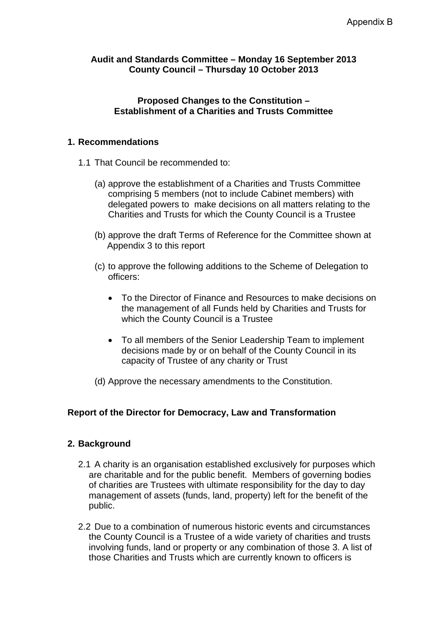#### **Audit and Standards Committee – Monday 16 September 2013 County Council – Thursday 10 October 2013**

#### **Proposed Changes to the Constitution – Establishment of a Charities and Trusts Committee**

# **1. Recommendations**

- 1.1 That Council be recommended to:
	- (a) approve the establishment of a Charities and Trusts Committee comprising 5 members (not to include Cabinet members) with delegated powers to make decisions on all matters relating to the Charities and Trusts for which the County Council is a Trustee
	- (b) approve the draft Terms of Reference for the Committee shown at Appendix 3 to this report
	- (c) to approve the following additions to the Scheme of Delegation to officers:
		- To the Director of Finance and Resources to make decisions on the management of all Funds held by Charities and Trusts for which the County Council is a Trustee
		- To all members of the Senior Leadership Team to implement decisions made by or on behalf of the County Council in its capacity of Trustee of any charity or Trust
	- (d) Approve the necessary amendments to the Constitution.

# **Report of the Director for Democracy, Law and Transformation**

# **2. Background**

- 2.1 A charity is an organisation established exclusively for purposes which are charitable and for the public benefit. Members of governing bodies of charities are Trustees with ultimate responsibility for the day to day management of assets (funds, land, property) left for the benefit of the public.
- 2.2 Due to a combination of numerous historic events and circumstances the County Council is a Trustee of a wide variety of charities and trusts involving funds, land or property or any combination of those 3. A list of those Charities and Trusts which are currently known to officers is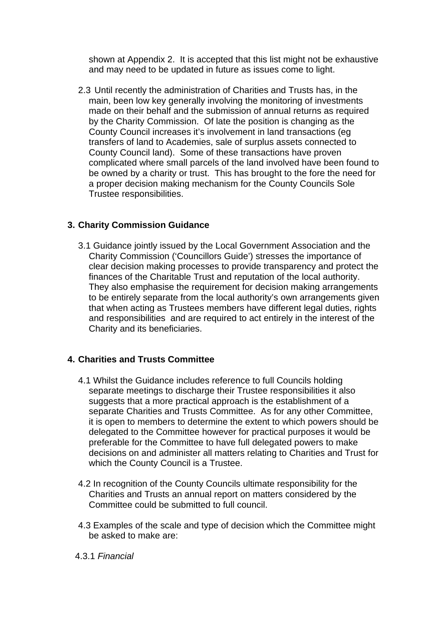shown at Appendix 2. It is accepted that this list might not be exhaustive and may need to be updated in future as issues come to light.

2.3 Until recently the administration of Charities and Trusts has, in the main, been low key generally involving the monitoring of investments made on their behalf and the submission of annual returns as required by the Charity Commission. Of late the position is changing as the County Council increases it's involvement in land transactions (eg transfers of land to Academies, sale of surplus assets connected to County Council land). Some of these transactions have proven complicated where small parcels of the land involved have been found to be owned by a charity or trust. This has brought to the fore the need for a proper decision making mechanism for the County Councils Sole Trustee responsibilities.

# **3. Charity Commission Guidance**

3.1 Guidance jointly issued by the Local Government Association and the Charity Commission ('Councillors Guide') stresses the importance of clear decision making processes to provide transparency and protect the finances of the Charitable Trust and reputation of the local authority. They also emphasise the requirement for decision making arrangements to be entirely separate from the local authority's own arrangements given that when acting as Trustees members have different legal duties, rights and responsibilities and are required to act entirely in the interest of the Charity and its beneficiaries.

# **4. Charities and Trusts Committee**

- 4.1 Whilst the Guidance includes reference to full Councils holding separate meetings to discharge their Trustee responsibilities it also suggests that a more practical approach is the establishment of a separate Charities and Trusts Committee. As for any other Committee, it is open to members to determine the extent to which powers should be delegated to the Committee however for practical purposes it would be preferable for the Committee to have full delegated powers to make decisions on and administer all matters relating to Charities and Trust for which the County Council is a Trustee.
- 4.2 In recognition of the County Councils ultimate responsibility for the Charities and Trusts an annual report on matters considered by the Committee could be submitted to full council.
- 4.3 Examples of the scale and type of decision which the Committee might be asked to make are:
- 4.3.1 *Financial*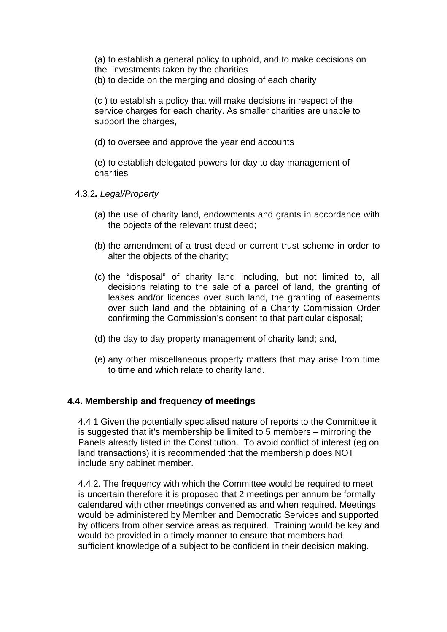(a) to establish a general policy to uphold, and to make decisions on the investments taken by the charities

(b) to decide on the merging and closing of each charity

(c ) to establish a policy that will make decisions in respect of the service charges for each charity. As smaller charities are unable to support the charges.

(d) to oversee and approve the year end accounts

(e) to establish delegated powers for day to day management of charities

4.3.2*. Legal/Property*

- (a) the use of charity land, endowments and grants in accordance with the objects of the relevant trust deed;
- (b) the amendment of a trust deed or current trust scheme in order to alter the objects of the charity;
- (c) the "disposal" of charity land including, but not limited to, all decisions relating to the sale of a parcel of land, the granting of leases and/or licences over such land, the granting of easements over such land and the obtaining of a Charity Commission Order confirming the Commission's consent to that particular disposal;
- (d) the day to day property management of charity land; and,
- (e) any other miscellaneous property matters that may arise from time to time and which relate to charity land.

# **4.4. Membership and frequency of meetings**

4.4.1 Given the potentially specialised nature of reports to the Committee it is suggested that it's membership be limited to 5 members – mirroring the Panels already listed in the Constitution. To avoid conflict of interest (eg on land transactions) it is recommended that the membership does NOT include any cabinet member.

4.4.2. The frequency with which the Committee would be required to meet is uncertain therefore it is proposed that 2 meetings per annum be formally calendared with other meetings convened as and when required. Meetings would be administered by Member and Democratic Services and supported by officers from other service areas as required. Training would be key and would be provided in a timely manner to ensure that members had sufficient knowledge of a subject to be confident in their decision making.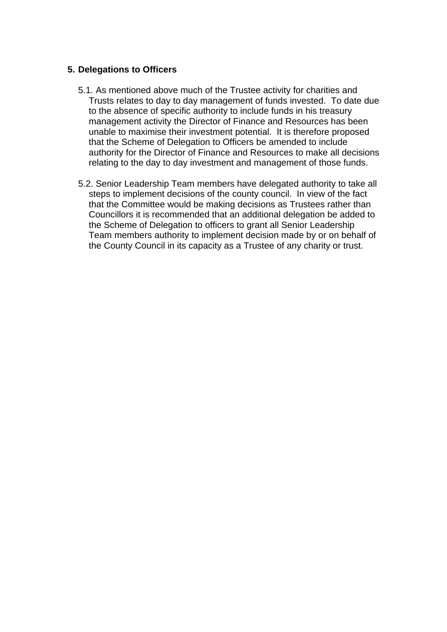#### **5. Delegations to Officers**

- 5.1. As mentioned above much of the Trustee activity for charities and Trusts relates to day to day management of funds invested. To date due to the absence of specific authority to include funds in his treasury management activity the Director of Finance and Resources has been unable to maximise their investment potential. It is therefore proposed that the Scheme of Delegation to Officers be amended to include authority for the Director of Finance and Resources to make all decisions relating to the day to day investment and management of those funds.
- 5.2. Senior Leadership Team members have delegated authority to take all steps to implement decisions of the county council. In view of the fact that the Committee would be making decisions as Trustees rather than Councillors it is recommended that an additional delegation be added to the Scheme of Delegation to officers to grant all Senior Leadership Team members authority to implement decision made by or on behalf of the County Council in its capacity as a Trustee of any charity or trust.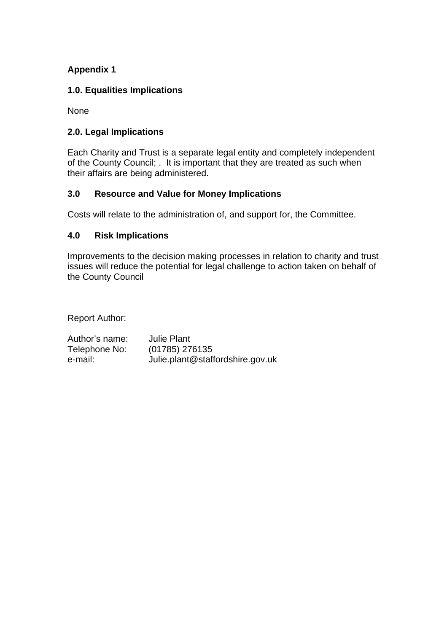# **Appendix 1**

# **1.0. Equalities Implications**

None

# **2.0. Legal Implications**

Each Charity and Trust is a separate legal entity and completely independent of the County Council; . It is important that they are treated as such when their affairs are being administered.

# **3.0 Resource and Value for Money Implications**

Costs will relate to the administration of, and support for, the Committee.

# **4.0 Risk Implications**

Improvements to the decision making processes in relation to charity and trust issues will reduce the potential for legal challenge to action taken on behalf of the County Council

Report Author:

| Author's name: | <b>Julie Plant</b>               |
|----------------|----------------------------------|
| Telephone No:  | (01785) 276135                   |
| e-mail:        | Julie.plant@staffordshire.gov.uk |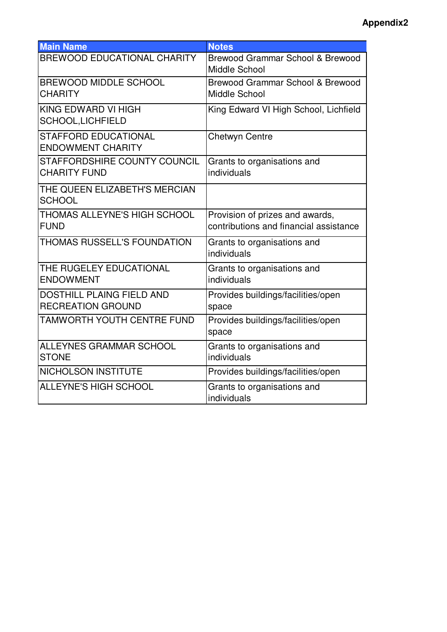# **Appendix2**

| <b>Main Name</b>                                             | <b>Notes</b>                                                              |
|--------------------------------------------------------------|---------------------------------------------------------------------------|
| <b>BREWOOD EDUCATIONAL CHARITY</b>                           | Brewood Grammar School & Brewood<br>Middle School                         |
| <b>BREWOOD MIDDLE SCHOOL</b><br><b>CHARITY</b>               | <b>Brewood Grammar School &amp; Brewood</b><br>Middle School              |
| KING EDWARD VI HIGH<br>SCHOOL,LICHFIELD                      | King Edward VI High School, Lichfield                                     |
| <b>STAFFORD EDUCATIONAL</b><br><b>ENDOWMENT CHARITY</b>      | Chetwyn Centre                                                            |
| STAFFORDSHIRE COUNTY COUNCIL<br><b>CHARITY FUND</b>          | Grants to organisations and<br>individuals                                |
| THE QUEEN ELIZABETH'S MERCIAN<br><b>SCHOOL</b>               |                                                                           |
| THOMAS ALLEYNE'S HIGH SCHOOL<br><b>FUND</b>                  | Provision of prizes and awards,<br>contributions and financial assistance |
| THOMAS RUSSELL'S FOUNDATION                                  | Grants to organisations and<br>individuals                                |
| THE RUGELEY EDUCATIONAL<br><b>ENDOWMENT</b>                  | Grants to organisations and<br>individuals                                |
| <b>DOSTHILL PLAING FIELD AND</b><br><b>RECREATION GROUND</b> | Provides buildings/facilities/open<br>space                               |
| TAMWORTH YOUTH CENTRE FUND                                   | Provides buildings/facilities/open<br>space                               |
| <b>ALLEYNES GRAMMAR SCHOOL</b><br><b>STONE</b>               | Grants to organisations and<br>individuals                                |
| <b>NICHOLSON INSTITUTE</b>                                   | Provides buildings/facilities/open                                        |
| <b>ALLEYNE'S HIGH SCHOOL</b>                                 | Grants to organisations and<br>individuals                                |